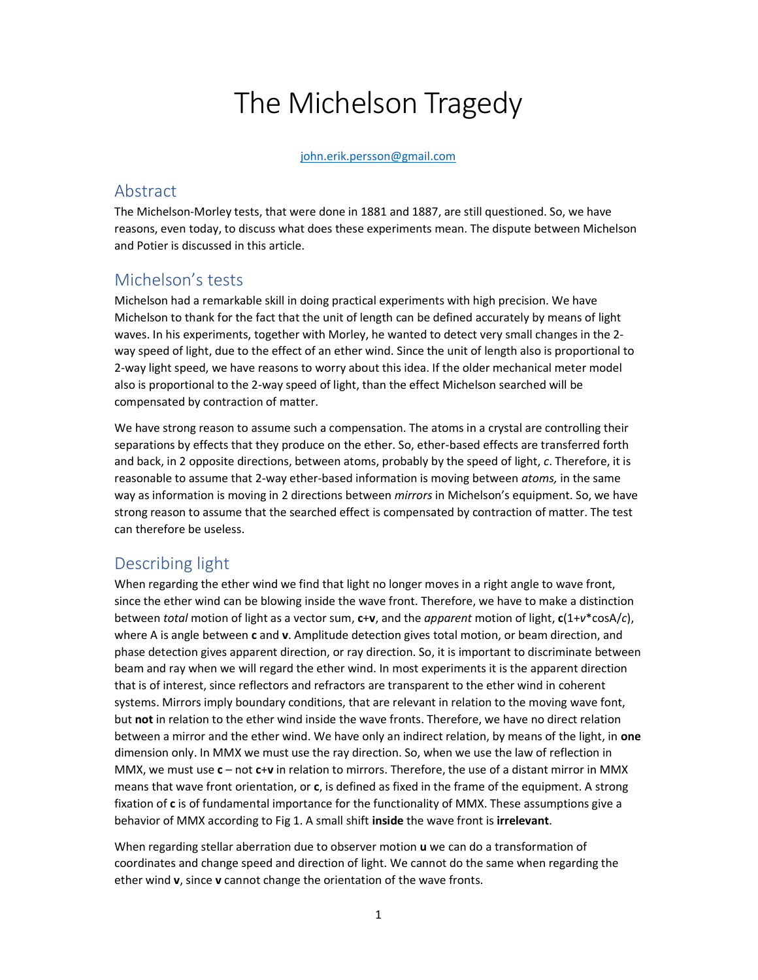# The Michelson Tragedy

#### john.erik.persson@gmail.com

### Abstract

The Michelson-Morley tests, that were done in 1881 and 1887, are still questioned. So, we have reasons, even today, to discuss what does these experiments mean. The dispute between Michelson and Potier is discussed in this article.

### Michelson's tests

Michelson had a remarkable skill in doing practical experiments with high precision. We have Michelson to thank for the fact that the unit of length can be defined accurately by means of light waves. In his experiments, together with Morley, he wanted to detect very small changes in the 2 way speed of light, due to the effect of an ether wind. Since the unit of length also is proportional to 2-way light speed, we have reasons to worry about this idea. If the older mechanical meter model also is proportional to the 2-way speed of light, than the effect Michelson searched will be compensated by contraction of matter.

We have strong reason to assume such a compensation. The atoms in a crystal are controlling their separations by effects that they produce on the ether. So, ether-based effects are transferred forth and back, in 2 opposite directions, between atoms, probably by the speed of light, c. Therefore, it is reasonable to assume that 2-way ether-based information is moving between atoms, in the same way as information is moving in 2 directions between mirrors in Michelson's equipment. So, we have strong reason to assume that the searched effect is compensated by contraction of matter. The test can therefore be useless.

## Describing light

When regarding the ether wind we find that light no longer moves in a right angle to wave front, since the ether wind can be blowing inside the wave front. Therefore, we have to make a distinction between total motion of light as a vector sum,  $c+v$ , and the apparent motion of light,  $c(1+v^*cosA/c)$ , where A is angle between c and v. Amplitude detection gives total motion, or beam direction, and phase detection gives apparent direction, or ray direction. So, it is important to discriminate between beam and ray when we will regard the ether wind. In most experiments it is the apparent direction that is of interest, since reflectors and refractors are transparent to the ether wind in coherent systems. Mirrors imply boundary conditions, that are relevant in relation to the moving wave font, but not in relation to the ether wind inside the wave fronts. Therefore, we have no direct relation between a mirror and the ether wind. We have only an indirect relation, by means of the light, in one dimension only. In MMX we must use the ray direction. So, when we use the law of reflection in MMX, we must use  $c - not c+v$  in relation to mirrors. Therefore, the use of a distant mirror in MMX means that wave front orientation, or c, is defined as fixed in the frame of the equipment. A strong fixation of c is of fundamental importance for the functionality of MMX. These assumptions give a behavior of MMX according to Fig 1. A small shift inside the wave front is irrelevant.

When regarding stellar aberration due to observer motion u we can do a transformation of coordinates and change speed and direction of light. We cannot do the same when regarding the ether wind v, since v cannot change the orientation of the wave fronts.